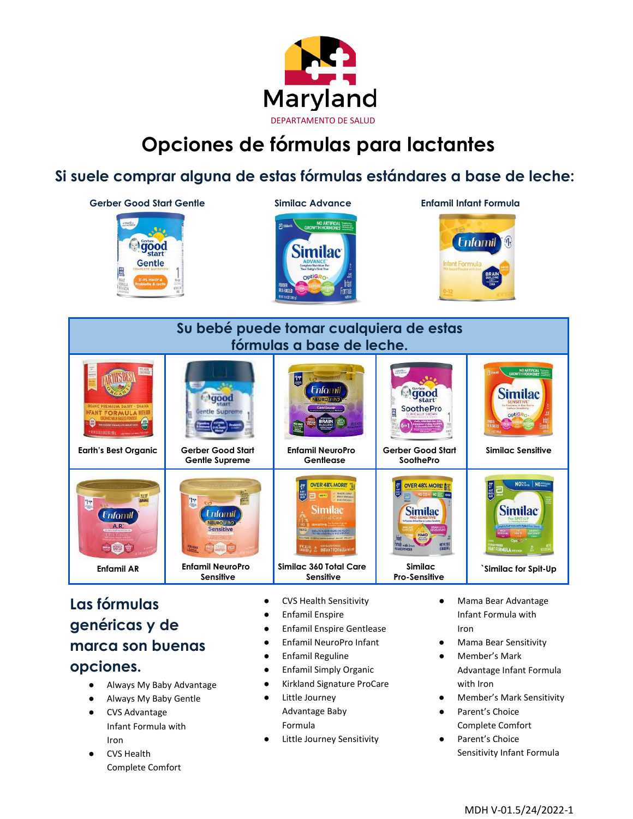

## **Opciones de fórmulas para lactantes**

## **Si suele comprar alguna de estas fórmulas estándares a base de leche:**



## **Las fórmulas genéricas y de marca son buenas opciones.**

 $A.R.$ 

Always My Baby Advantage

**Enfamil AR Enfamil NeuroPro** 

**Sensitive**

nsitive

- Always My Baby Gentle
- **CVS Advantage** Infant Formula with Iron
- **CVS Health** Complete Comfort
- CVS Health Sensitivity
- Enfamil Enspire
- Enfamil Enspire Gentlease

**Similac 360 Total Care Sensitive**

- Enfamil NeuroPro Infant
- Enfamil Reguline
- Enfamil Simply Organic
- Kirkland Signature ProCare
- Little Journey Advantage Baby Formula
- Little Journey Sensitivity

● Mama Bear Advantage Infant Formula with Iron

**`Similac for Spit-Up**

**Similac Pro-Sensitive**

- **Mama Bear Sensitivity**
- Member's Mark Advantage Infant Formula with Iron
- Member's Mark Sensitivity
- Parent's Choice Complete Comfort
- Parent's Choice Sensitivity Infant Formula